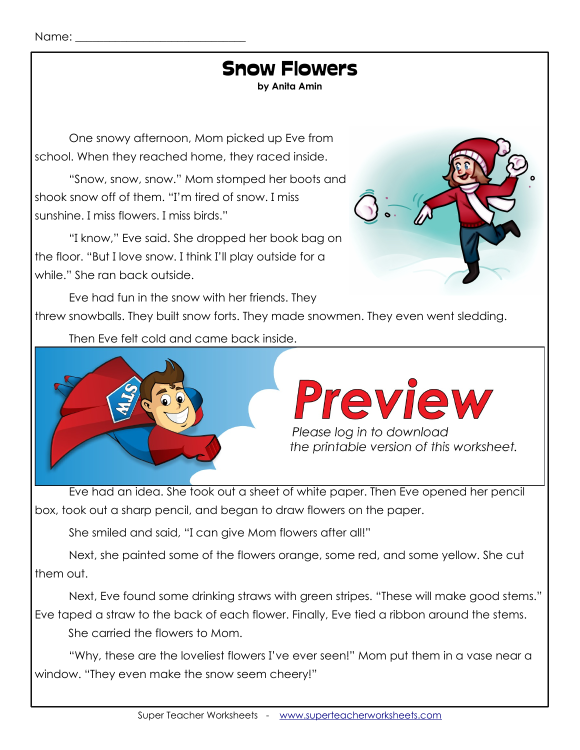

One snowy afternoon, Mom picked up Eve from school. When they reached home, they raced inside.

"Snow, snow, snow." Mom stomped her boots and shook snow off of them. "I'm tired of snow. I miss sunshine. I miss flowers. I miss birds."

"I know," Eve said. She dropped her book bag on the floor. "But I love snow. I think I'll play outside for a while." She ran back outside.



Eve had fun in the snow with her friends. They threw snowballs. They built snow forts. They made snowmen. They even went sledding.

Then Eve felt cold and came back inside.





Eve had an idea. She took out a sheet of white paper. Then Eve opened her pencil box, took out a sharp pencil, and began to draw flowers on the paper.

She smiled and said, "I can give Mom flowers after all!"

Next, she painted some of the flowers orange, some red, and some yellow. She cut them out.

Next, Eve found some drinking straws with green stripes. "These will make good stems." Eve taped a straw to the back of each flower. Finally, Eve tied a ribbon around the stems. She carried the flowers to Mom.

"Why, these are the loveliest flowers I've ever seen!" Mom put them in a vase near a window. "They even make the snow seem cheery!"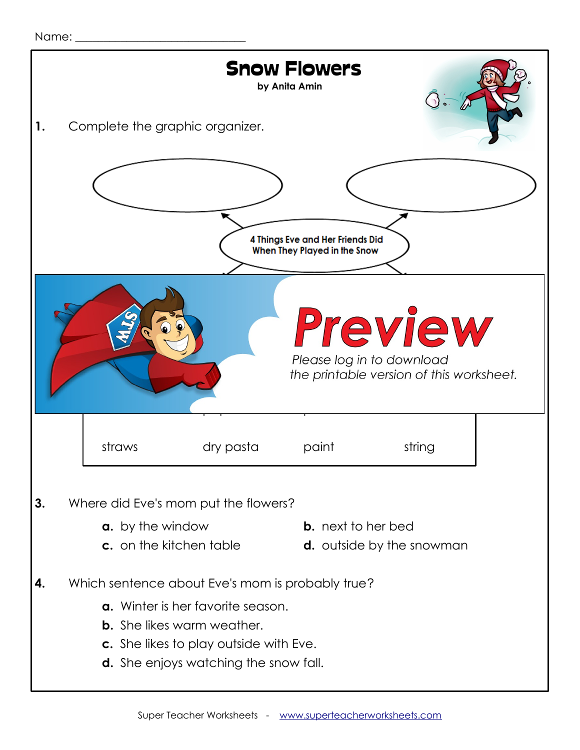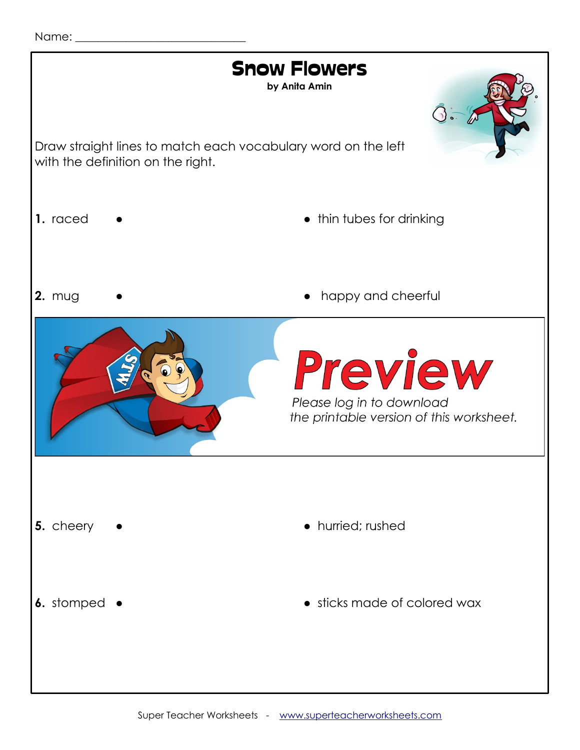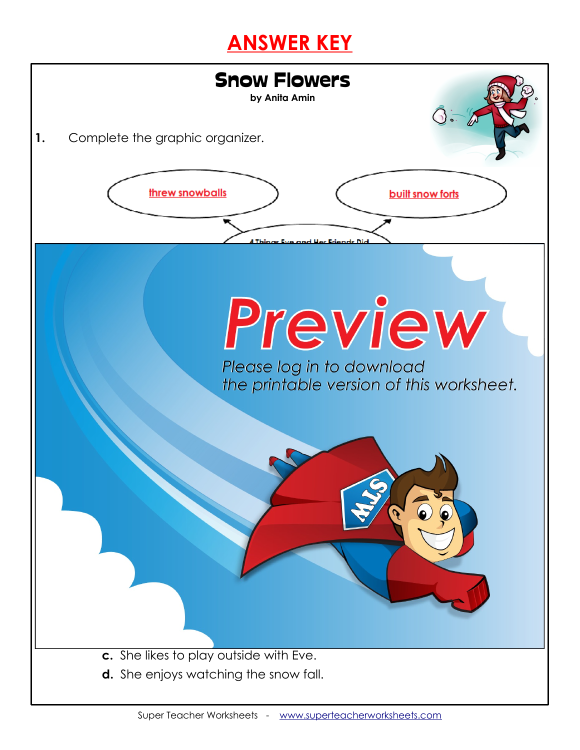## **ANSWER KEY**